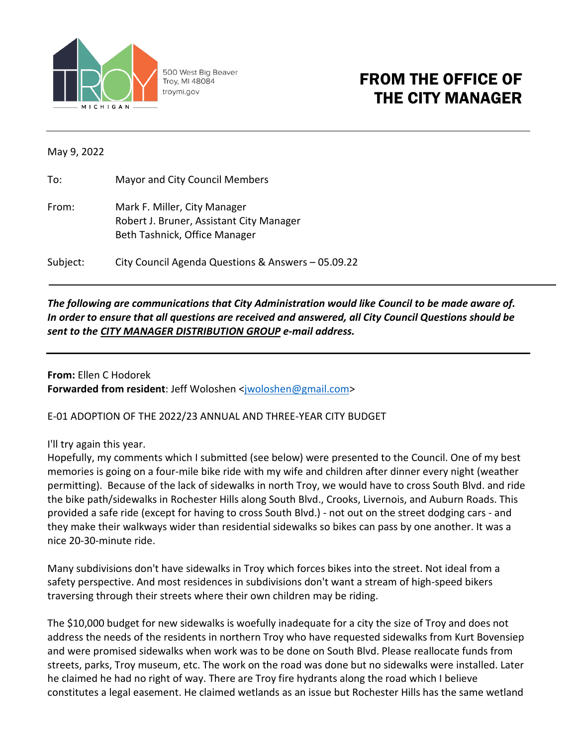

500 West Big Beaver Troy, MI 48084 troymi.gov

## FROM THE OFFICE OF THE CITY MANAGER

May 9, 2022

To: Mayor and City Council Members

From: Mark F. Miller, City Manager Robert J. Bruner, Assistant City Manager Beth Tashnick, Office Manager

Subject: City Council Agenda Questions & Answers – 05.09.22

## *The following are communications that City Administration would like Council to be made aware of. In order to ensure that all questions are received and answered, all City Council Questions should be sent to the CITY MANAGER DISTRIBUTION GROUP e-mail address.*

**From:** Ellen C Hodorek **Forwarded from resident**: Jeff Woloshen [<jwoloshen@gmail.com>](mailto:jwoloshen@gmail.com)

E-01 ADOPTION OF THE 2022/23 ANNUAL AND THREE-YEAR CITY BUDGET

## I'll try again this year.

Hopefully, my comments which I submitted (see below) were presented to the Council. One of my best memories is going on a four-mile bike ride with my wife and children after dinner every night (weather permitting). Because of the lack of sidewalks in north Troy, we would have to cross South Blvd. and ride the bike path/sidewalks in Rochester Hills along South Blvd., Crooks, Livernois, and Auburn Roads. This provided a safe ride (except for having to cross South Blvd.) - not out on the street dodging cars - and they make their walkways wider than residential sidewalks so bikes can pass by one another. It was a nice 20-30-minute ride.

Many subdivisions don't have sidewalks in Troy which forces bikes into the street. Not ideal from a safety perspective. And most residences in subdivisions don't want a stream of high-speed bikers traversing through their streets where their own children may be riding.

The \$10,000 budget for new sidewalks is woefully inadequate for a city the size of Troy and does not address the needs of the residents in northern Troy who have requested sidewalks from Kurt Bovensiep and were promised sidewalks when work was to be done on South Blvd. Please reallocate funds from streets, parks, Troy museum, etc. The work on the road was done but no sidewalks were installed. Later he claimed he had no right of way. There are Troy fire hydrants along the road which I believe constitutes a legal easement. He claimed wetlands as an issue but Rochester Hills has the same wetland